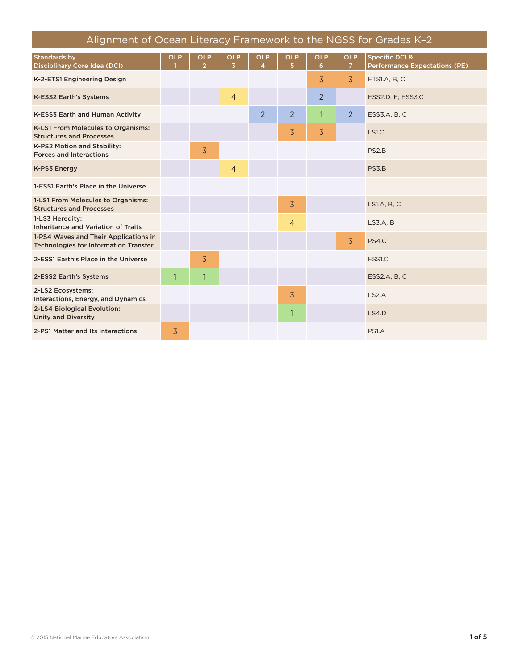| Alignment of Ocean Literacy Framework to the NGSS for Grades K-2                      |                |                              |                                       |                 |                              |                 |                              |                                                                   |
|---------------------------------------------------------------------------------------|----------------|------------------------------|---------------------------------------|-----------------|------------------------------|-----------------|------------------------------|-------------------------------------------------------------------|
| <b>Standards by</b><br><b>Disciplinary Core Idea (DCI)</b>                            | <b>OLP</b>     | <b>OLP</b><br>$\overline{2}$ | <b>OLP</b><br>$\overline{\mathbf{3}}$ | <b>OLP</b><br>4 | <b>OLP</b><br>5 <sup>1</sup> | <b>OLP</b><br>6 | <b>OLP</b><br>7 <sup>1</sup> | <b>Specific DCI &amp;</b><br><b>Performance Expectations (PE)</b> |
| K-2-ETS1 Engineering Design                                                           |                |                              |                                       |                 |                              | $\overline{3}$  | $\overline{3}$               | ETS1.A, B, C                                                      |
| K-ESS2 Earth's Systems                                                                |                |                              | $\overline{4}$                        |                 |                              | 2               |                              | ESS2.D, E; ESS3.C                                                 |
| K-ESS3 Earth and Human Activity                                                       |                |                              |                                       | $\overline{2}$  | 2                            | $\mathbf{1}$    | 2                            | ESS3.A, B, C                                                      |
| K-LS1 From Molecules to Organisms:<br><b>Structures and Processes</b>                 |                |                              |                                       |                 | $\overline{3}$               | 3               |                              | LS1.C                                                             |
| K-PS2 Motion and Stability:<br><b>Forces and Interactions</b>                         |                | 3                            |                                       |                 |                              |                 |                              | PS <sub>2</sub> B                                                 |
| K-PS3 Energy                                                                          |                |                              | $\overline{4}$                        |                 |                              |                 |                              | PS3.B                                                             |
| 1-ESS1 Earth's Place in the Universe                                                  |                |                              |                                       |                 |                              |                 |                              |                                                                   |
| 1-LS1 From Molecules to Organisms:<br><b>Structures and Processes</b>                 |                |                              |                                       |                 | $\overline{3}$               |                 |                              | LS1.A, B, C                                                       |
| 1-LS3 Heredity:<br>Inheritance and Variation of Traits                                |                |                              |                                       |                 | $\overline{4}$               |                 |                              | LS3.A, B                                                          |
| 1-PS4 Waves and Their Applications in<br><b>Technologies for Information Transfer</b> |                |                              |                                       |                 |                              |                 | $\overline{3}$               | PS4.C                                                             |
| 2-ESS1 Earth's Place in the Universe                                                  |                | 3                            |                                       |                 |                              |                 |                              | ESS1.C                                                            |
| 2-ESS2 Earth's Systems                                                                | $\mathbf{1}$   | 1                            |                                       |                 |                              |                 |                              | ESS2.A, B, C                                                      |
| 2-LS2 Ecosystems:<br>Interactions, Energy, and Dynamics                               |                |                              |                                       |                 | $\overline{3}$               |                 |                              | LS2.A                                                             |
| 2-LS4 Biological Evolution:<br><b>Unity and Diversity</b>                             |                |                              |                                       |                 |                              |                 |                              | <b>LS4.D</b>                                                      |
| 2-PS1 Matter and Its Interactions                                                     | $\overline{3}$ |                              |                                       |                 |                              |                 |                              | PS1.A                                                             |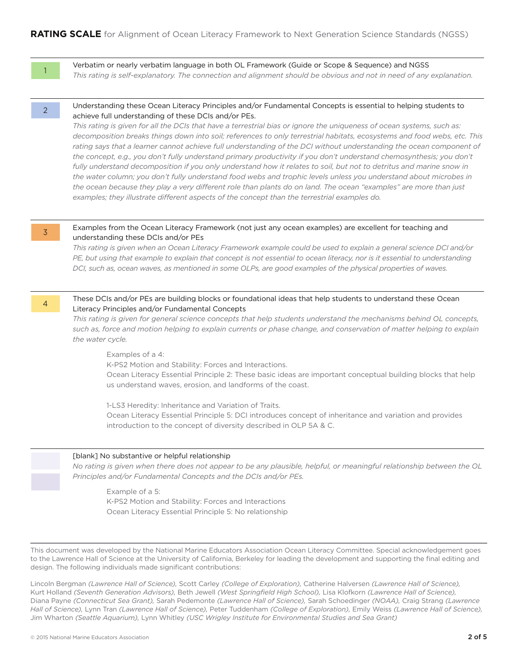1

Verbatim or nearly verbatim language in both OL Framework (Guide or Scope & Sequence) and NGSS

*This rating is self-explanatory. The connection and alignment should be obvious and not in need of any explanation.*

#### Understanding these Ocean Literacy Principles and/or Fundamental Concepts is essential to helping students to achieve full understanding of these DCIs and/or PEs.

*This rating is given for all the DCIs that have a terrestrial bias or ignore the uniqueness of ocean systems, such as: decomposition breaks things down into soil; references to only terrestrial habitats, ecosystems and food webs, etc. This*  rating says that a learner cannot achieve full understanding of the DCI without understanding the ocean component of the concept, e.g., you don't fully understand primary productivity if you don't understand chemosynthesis; you don't fully understand decomposition if you only understand how it relates to soil, but not to detritus and marine snow in *the water column; you don't fully understand food webs and trophic levels unless you understand about microbes in the ocean because they play a very different role than plants do on land. The ocean "examples" are more than just examples; they illustrate different aspects of the concept than the terrestrial examples do.*

3

4

#### Examples from the Ocean Literacy Framework (not just any ocean examples) are excellent for teaching and understanding these DCIs and/or PEs

*This rating is given when an Ocean Literacy Framework example could be used to explain a general science DCI and/or PE, but using that example to explain that concept is not essential to ocean literacy, nor is it essential to understanding DCI, such as, ocean waves, as mentioned in some OLPs, are good examples of the physical properties of waves.*

#### These DCIs and/or PEs are building blocks or foundational ideas that help students to understand these Ocean Literacy Principles and/or Fundamental Concepts

*This rating is given for general science concepts that help students understand the mechanisms behind OL concepts, such as, force and motion helping to explain currents or phase change, and conservation of matter helping to explain the water cycle.*

Examples of a 4:

K-PS2 Motion and Stability: Forces and Interactions.

Ocean Literacy Essential Principle 2: These basic ideas are important conceptual building blocks that help us understand waves, erosion, and landforms of the coast.

1-LS3 Heredity: Inheritance and Variation of Traits.

Ocean Literacy Essential Principle 5: DCI introduces concept of inheritance and variation and provides introduction to the concept of diversity described in OLP 5A & C.

#### [blank] No substantive or helpful relationship

*No rating is given when there does not appear to be any plausible, helpful, or meaningful relationship between the OL Principles and/or Fundamental Concepts and the DCIs and/or PEs.*

Example of a 5: K-PS2 Motion and Stability: Forces and Interactions Ocean Literacy Essential Principle 5: No relationship

This document was developed by the National Marine Educators Association Ocean Literacy Committee. Special acknowledgement goes to the Lawrence Hall of Science at the University of California, Berkeley for leading the development and supporting the final editing and design. The following individuals made significant contributions:

Lincoln Bergman *(Lawrence Hall of Science),* Scott Carley *(College of Exploration),* Catherine Halversen *(Lawrence Hall of Science),* Kurt Holland *(Seventh Generation Advisors),* Beth Jewell *(West Springfield High School),* Lisa Klofkorn *(Lawrence Hall of Science),* Diana Payne *(Connecticut Sea Grant),* Sarah Pedemonte *(Lawrence Hall of Science),* Sarah Schoedinger *(NOAA),* Craig Strang *(Lawrence Hall of Science),* Lynn Tran *(Lawrence Hall of Science),* Peter Tuddenham *(College of Exploration),* Emily Weiss *(Lawrence Hall of Science),* Jim Wharton *(Seattle Aquarium),* Lynn Whitley *(USC Wrigley Institute for Environmental Studies and Sea Grant)*

<sup>2</sup>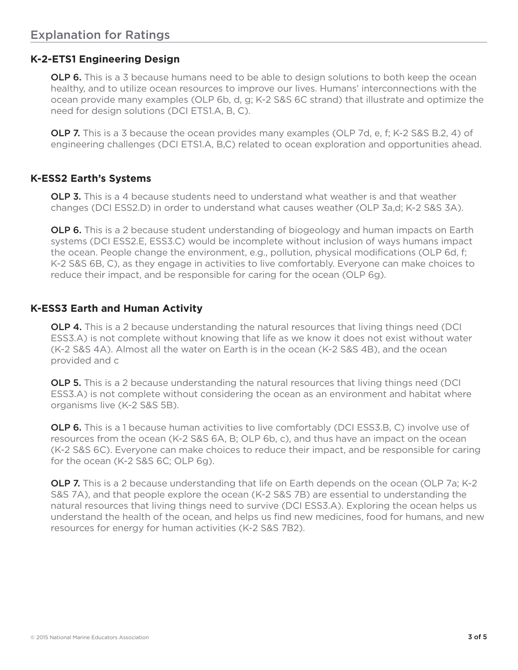# **K-2-ETS1 Engineering Design**

**OLP 6.** This is a 3 because humans need to be able to design solutions to both keep the ocean healthy, and to utilize ocean resources to improve our lives. Humans' interconnections with the ocean provide many examples (OLP 6b, d, g; K-2 S&S 6C strand) that illustrate and optimize the need for design solutions (DCI ETS1.A, B, C).

**OLP 7.** This is a 3 because the ocean provides many examples (OLP 7d, e, f; K-2 S&S B.2, 4) of engineering challenges (DCI ETS1.A, B,C) related to ocean exploration and opportunities ahead.

# **K-ESS2 Earth's Systems**

**OLP 3.** This is a 4 because students need to understand what weather is and that weather changes (DCI ESS2.D) in order to understand what causes weather (OLP 3a,d; K-2 S&S 3A).

**OLP 6.** This is a 2 because student understanding of biogeology and human impacts on Earth systems (DCI ESS2.E, ESS3.C) would be incomplete without inclusion of ways humans impact the ocean. People change the environment, e.g., pollution, physical modifications (OLP 6d, f; K-2 S&S 6B, C), as they engage in activities to live comfortably. Everyone can make choices to reduce their impact, and be responsible for caring for the ocean (OLP 6g).

# **K-ESS3 Earth and Human Activity**

**OLP 4.** This is a 2 because understanding the natural resources that living things need (DCI) ESS3.A) is not complete without knowing that life as we know it does not exist without water (K-2 S&S 4A). Almost all the water on Earth is in the ocean (K-2 S&S 4B), and the ocean provided and c

**OLP 5.** This is a 2 because understanding the natural resources that living things need (DCI) ESS3.A) is not complete without considering the ocean as an environment and habitat where organisms live (K-2 S&S 5B).

**OLP 6.** This is a 1 because human activities to live comfortably (DCI ESS3.B, C) involve use of resources from the ocean (K-2 S&S 6A, B; OLP 6b, c), and thus have an impact on the ocean (K-2 S&S 6C). Everyone can make choices to reduce their impact, and be responsible for caring for the ocean (K-2 S&S 6C; OLP 6g).

**OLP 7.** This is a 2 because understanding that life on Earth depends on the ocean (OLP 7a; K-2 S&S 7A), and that people explore the ocean (K-2 S&S 7B) are essential to understanding the natural resources that living things need to survive (DCI ESS3.A). Exploring the ocean helps us understand the health of the ocean, and helps us find new medicines, food for humans, and new resources for energy for human activities (K-2 S&S 7B2).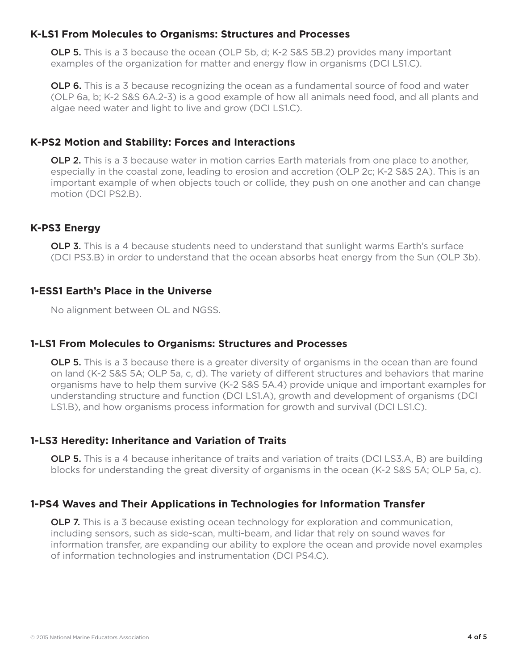#### **K-LS1 From Molecules to Organisms: Structures and Processes**

OLP 5. This is a 3 because the ocean (OLP 5b, d; K-2 S&S 5B.2) provides many important examples of the organization for matter and energy flow in organisms (DCI LS1.C).

**OLP 6.** This is a 3 because recognizing the ocean as a fundamental source of food and water (OLP 6a, b; K-2 S&S 6A.2-3) is a good example of how all animals need food, and all plants and algae need water and light to live and grow (DCI LS1.C).

### **K-PS2 Motion and Stability: Forces and Interactions**

**OLP 2.** This is a 3 because water in motion carries Earth materials from one place to another, especially in the coastal zone, leading to erosion and accretion (OLP 2c; K-2 S&S 2A). This is an important example of when objects touch or collide, they push on one another and can change motion (DCI PS2.B).

### **K-PS3 Energy**

**OLP 3.** This is a 4 because students need to understand that sunlight warms Earth's surface (DCI PS3.B) in order to understand that the ocean absorbs heat energy from the Sun (OLP 3b).

### **1-ESS1 Earth's Place in the Universe**

No alignment between OL and NGSS.

### **1-LS1 From Molecules to Organisms: Structures and Processes**

**OLP 5.** This is a 3 because there is a greater diversity of organisms in the ocean than are found on land (K-2 S&S 5A; OLP 5a, c, d). The variety of different structures and behaviors that marine organisms have to help them survive (K-2 S&S 5A.4) provide unique and important examples for understanding structure and function (DCI LS1.A), growth and development of organisms (DCI LS1.B), and how organisms process information for growth and survival (DCI LS1.C).

### **1-LS3 Heredity: Inheritance and Variation of Traits**

OLP 5. This is a 4 because inheritance of traits and variation of traits (DCI LS3.A, B) are building blocks for understanding the great diversity of organisms in the ocean (K-2 S&S 5A; OLP 5a, c).

# **1-PS4 Waves and Their Applications in Technologies for Information Transfer**

**OLP 7.** This is a 3 because existing ocean technology for exploration and communication, including sensors, such as side-scan, multi-beam, and lidar that rely on sound waves for information transfer, are expanding our ability to explore the ocean and provide novel examples of information technologies and instrumentation (DCI PS4.C).